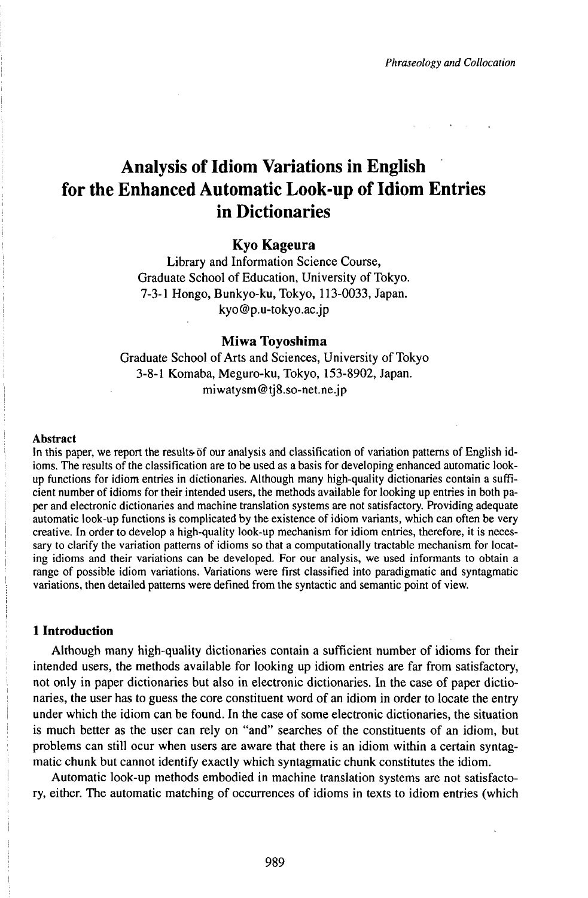# Analysis of Idiom Variations in English for the Enhanced Automatic Look-up of Idiom Entries in Dictionaries

# **Kyo Kageura**

Library and Information Science Course, Graduate School of Education, University of Tokyo. 7-3-1 Hongo, Bunkyo-ku, Tokyo, 113-0033, Japan. kyo@p.u-tokyo.ac.jp

## **Miwa Toyoshima**

Graduate School of Arts and Sciences, University of Tokyo 3-8-1 Komaba, Meguro-ku, Tokyo, 153-8902, Japan. miwatysm@tj8.so-net.ne.jp

#### Abstract

In this paper, we report the results-of our analysis and classification of variation patterns of English idioms. The results of the classification are to be used as a basis for developing enhanced automatic lookup functions for idiom entries in dictionaries. Although many high-quality dictionaries contain a sufficient number of idioms for their intended users, the methods available for looking up entries in both paper and electronic dictionaries and machine translation systems are not satisfactory. Providing adequate automatic look-up functions is complicated by the existence of idiom variants, which can often be very creative. In order to develop a high-quality look-up mechanism for idiom entries, therefore, it is necessary to clarify the variation patterns of idioms so that a computationally tractable mechanism for locating idioms and their variations can be developed. For our analysis, we used informants to obtain a range of possible idiom variations. Variations were first classified into paradigmatic and syntagmatic variations, then detailed patterns were defined from the syntactic and semantic point of view.

# **1 Introduction**

Although many high-quality dictionaries contain a sufficient number of idioms for their intended users, the methods available for looking up idiom entries are far from satisfactory, not only in paper dictionaries but also in electronic dictionaries. In the case of paper dictionaries, the user has to guess the core constituent word of an idiom in order to locate the entry under which the idiom can be found. In the case of some electronic dictionaries, the situation is much better as the user can rely on "and" searches of the constituents of an idiom, but problems can still ocur when users are aware that there is an idiom within a certain syntagmatic chunk but cannot identify exactly which syntagmatic chunk constitutes the idiom.

Automatic look-up methods embodied in machine translation systems are not satisfactory, either. The automatic matching of occurrences of idioms in texts to idiom entries (which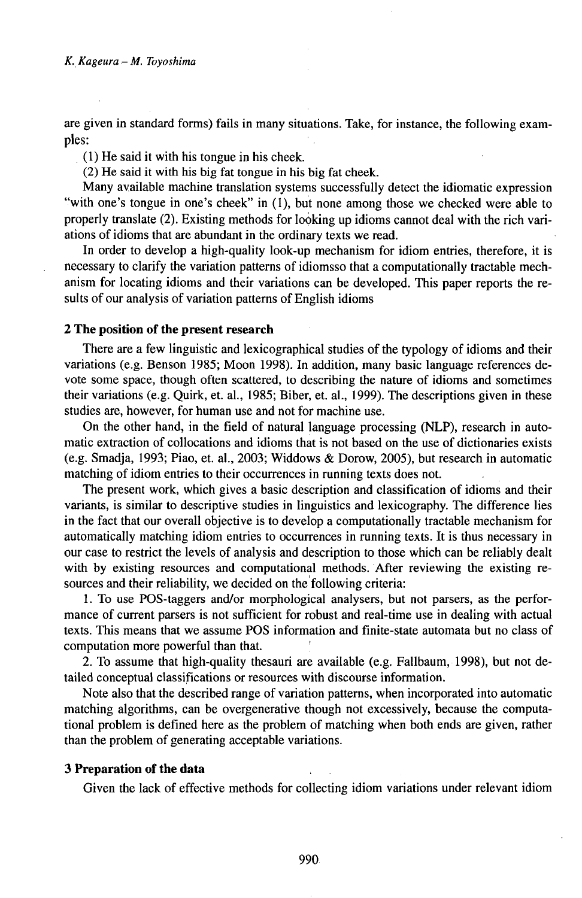are given in standard forms) fails in many situations. Take, for instance, the following examples:

(1) He said it with his tongue in his cheek.

(2) He said it with his big fat tongue in his big fat cheek.

Many available machine translation systems successfully detect the idiomatic expression "with one's tongue in one's cheek" in (1), but none among those we checked were able to properly translate (2). Existing methods for loòking up idioms cannot deal with the rich variations of idioms that are abundant in the ordinary texts we read.

In order to develop a high-quality look-up mechanism for idiom entries, therefore, it is necessary to clarify the variation patterns of idiomsso that a computationally tractable mechanism for locating idioms and their variations can be developed. This paper reports the results of our analysis of variation patterns of English idioms

## **2 The position of the present research**

There are a few linguistic and lexicographical studies of the typology of idioms and their variations (e.g. Benson 1985; Moon 1998). In addition, many basic language references devote some space, though often scattered, to describing the nature of idioms and sometimes their variations (e.g. Quirk, et. al., 1985; Biber, et. al., 1999). The descriptions given in these studies are, however, for human use and not for machine use.

On the other hand, in the field of natural language processing (NLP), research in automatic extraction of collocations and idioms that is not based on the use of dictionaries exists (e.g. Smadja, 1993; Piao, et. al., 2003; Widdows & Dorow, 2005), but research in automatic matching of idiom entries to their occurrences in running texts does not.

The present work, which gives a basic description and classification of idioms and their variants, is similar to descriptive studies in linguistics and lexicography. The difference lies in the fact that our overall objective is to develop a computationally tractable mechanism for automatically matching idiom entries to occurrences in running texts. It is thus necessary in our case to restrict the levels of analysis and description to those which can be reliably dealt with by existing resources and computational methods. After reviewing the existing resources and their reliability, we decided on the following criteria:

1. To use POS-taggers and/or morphological analysers, but not parsers, as the performance of current parsers is not sufficient for robust and real-time use in dealing with actual texts. This means that we assume POS information and finite-state automata but no class of computation more powerful than that. '

2. To assume that high-quality thesauri are available (e.g. Fallbaum,1998), but not detailed conceptual classifications or resources with discourse information.

Note also that the described range of variation patterns, when incorporated into automatic matching algorithms, can be overgenerative though not excessively, because the computational problem is defined here as the problem of matching when both ends are given, rather than the problem of generating acceptable variations.

# **3 Preparation of the data**

Given the lack of effective methods for collecting idiom variations under relevant idiom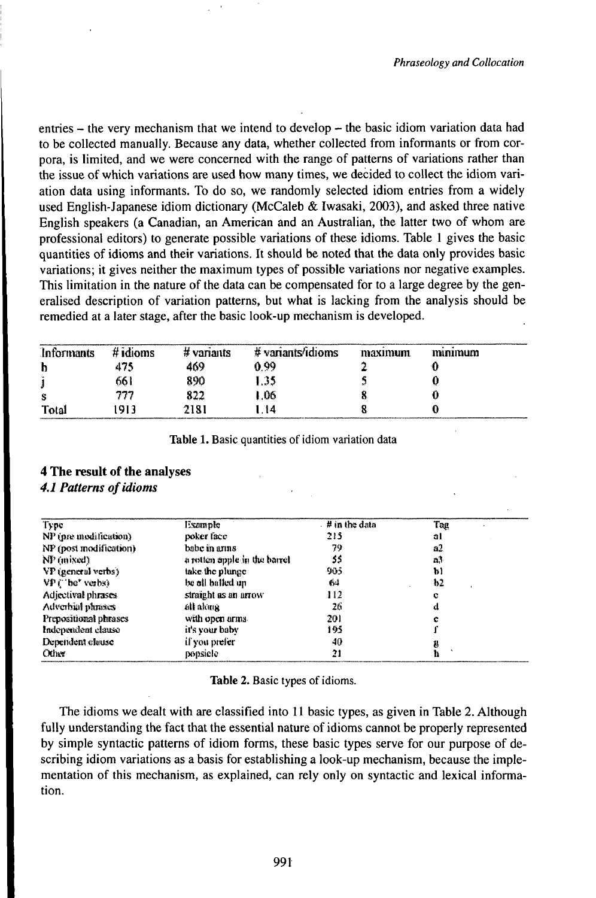entries – the very mechanism that we intend to develop – the basic idiom variation data had to be collected manually. Because any data, whether collected from informants or from corpora, is limited, and we were concerned with the range of patterns of variations rather than the issue of which variations are used how many times, we decided to collect the idiom variation data using informants. To do so, we randomly selected idiom entries from a widely used English-Japanese idiom dictionary (McCaleb & Iwasaki, 2003), and asked three native English speakers (a Canadian, an American and an Australian, the latter two of whom are professional editors) to generate possible variations of these idioms. Table 1 gives the basic quantities of idioms and their variations. It should be noted that the data only provides basic variations; it gives neither the maximum types of possible variations nor negative examples. This limitation in the nature of the data can be compensated for to a large degree by the generalised description of variation patterns, but what is lacking from the analysis should be remedied at a later stage, after the basic look-up mechanism is developed.

| Informants | $#$ idioms | $#$ variants | # variants/idioms | maximum | mmmum |  |
|------------|------------|--------------|-------------------|---------|-------|--|
| ħ          | 475        | 469          | 0.99              |         |       |  |
|            | 661        | 890          | 1.35              |         |       |  |
| s          | 777        | 822          | 1.06              |         |       |  |
| Total      | 913        | 2181         | -14               |         |       |  |

Table 1. Basic quantities of idiom variation data

# 4 The result of the analyses **4.1 Patterns of idioms**

| Type                   | Example                      | $\#$ in the data | Tag |
|------------------------|------------------------------|------------------|-----|
| NP (pre-modification)  | poker face                   | 215              | al  |
| NP (post modification) | babe in arms                 | 79               | а2. |
| $NP$ (mixed)           | a rotten apple in the barrel | 55               | a3  |
| VP (general verbs)     | take the plunge              | 905              | b)  |
| VP ("be" verbs)        | be all balled un             | 64               | ħ2  |
| Adjectival phrases     | straight as an arrow         | 112              | c   |
| Adverbal phrases       | átt akana                    | 26               | a   |
| Prepositional phrases  | with open arms.              | 201              | c   |
| Independent clause     | it's your baby               | 195              |     |
| Dependent clause       | if you prefer                | 40               | g   |
| Other.                 | popsiele                     | 21               |     |

|  |  |  | Table 2. Basic types of idioms. |
|--|--|--|---------------------------------|
|--|--|--|---------------------------------|

The idioms we dealt with are classified into 11 basic types, as given in Table 2. Although fully understanding the fact that the essential nature of idioms cannot be properly represented by simple syntactic patterns of idiom forms, these basic types serve for our purpose of describing idiom variations as a basis for establishing a look-up mechanism, because the implementation of this mechanism, as explained, can rely only on syntactic and lexical information.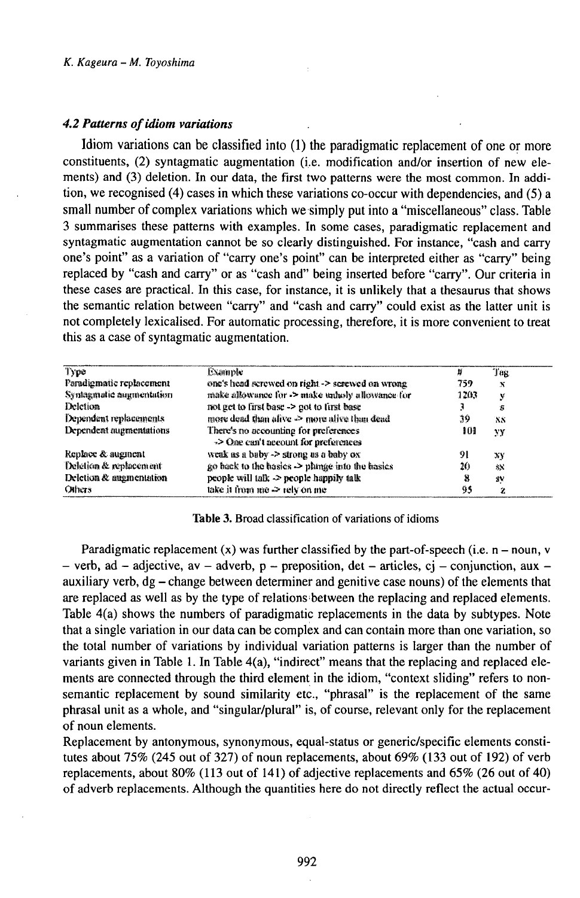## 4.2 Patterns of idiom variations

Idiom variations can be classified into (1) the paradigmatic replacement of one or more constituents, (2) syntagmatic augmentation (i.e. modification and/or insertion of new elements) and (3) deletion. In our data, the first two patterns were the most common. In addition, we recognised (4) cases in which these variations co-occur with dependencies, and (5) a small number of complex variations which we simply put into a "miscellaneous" class. Table 3 summarises these patterns with examples. In some cases, paradigmatic replacement and syntagmatic augmentation cannot be so clearly distinguished. For instance, "cash and carry one's point" as a variation of "carry one's point" can be interpreted either as "carry" being replaced by "cash and carry" or as "cash and" being inserted before "carry". Our criteria in these cases are practical. In this case, for instance, it is unlikely that a thesaurus that shows the semantic relation between "carry" and "cash and carry" could exist as the latter unit is not completely lexicalised. For automatic processing, therefore, it is more convenient to treat this as a case of syntagmatic augmentation.

| Type                     | Example                                                                       | Ħ    | Tag            |
|--------------------------|-------------------------------------------------------------------------------|------|----------------|
| Paradigmatic replacement | one's head screwed on right -> serewed on wrong                               | 759  | x              |
| Syntagmatic augmentation | make allowance for $\geq$ make unludy allowance for                           | 1203 | v              |
| Deletion                 | not get to first base $\rightarrow$ got to first base                         |      | Б              |
| Dependent replacements   | more dead than alive $\rightarrow$ more alive than dead                       | 39   | X <sub>N</sub> |
| Dependent augmentations  | There's no accounting for preferences<br>-> One can't account for preferences | 101  | YY             |
| Replace & augment        | weak as a baby -> strong as a baby ox                                         | -91  | XY             |
| Deletion & replacement   | go hack to the hasics $\rightarrow$ plange into the hasics                    | 20   | 绿              |
| Deletion & augmentation  | people will talk -> people happily talk                                       | x    | ä٧             |
| Others                   | take it from me $\geq$ rely on me                                             | 95   | 2              |

#### Table 3. Broad classification of variations of idioms

Paradigmatic replacement (x) was further classified by the part-of-speech (i.e.  $n - noun$ , v - verb, ad - adjective, av - adverb,  $p -$  preposition, det - articles, cj - conjunction, aux auxiliary verb,  $dg - change$  between determiner and genitive case nouns) of the elements that are replaced as well as by the type of relations between the replacing and replaced elements. Table  $4(a)$  shows the numbers of paradigmatic replacements in the data by subtypes. Note that a single variation in our data can be complex and can contain more than one variation, so the total number of variations by individual variation patterns is larger than the number of variants given in Table 1. In Table 4(a), "indirect" means that the replacing and replaced elements are connected through the third element in the idiom, "context sliding" refers to nonsemantic replacement by sound similarity etc., "phrasal" is the replacement of the same phrasal unit as a whole, and "singular/plural" is, of course, relevant only for the replacement of noun elements.

Replacement by antonymous, synonymous, equal-status or generic/specific elements constitutes about 75% (245 out of 327) of noun replacements, about 69% (133 out of 192) of verb replacements, about 80% (113 out of 141) of adjective replacements and 65% (26 out of 40) of adverb replacements. Although the quantities here do not directly reflect the actual occur-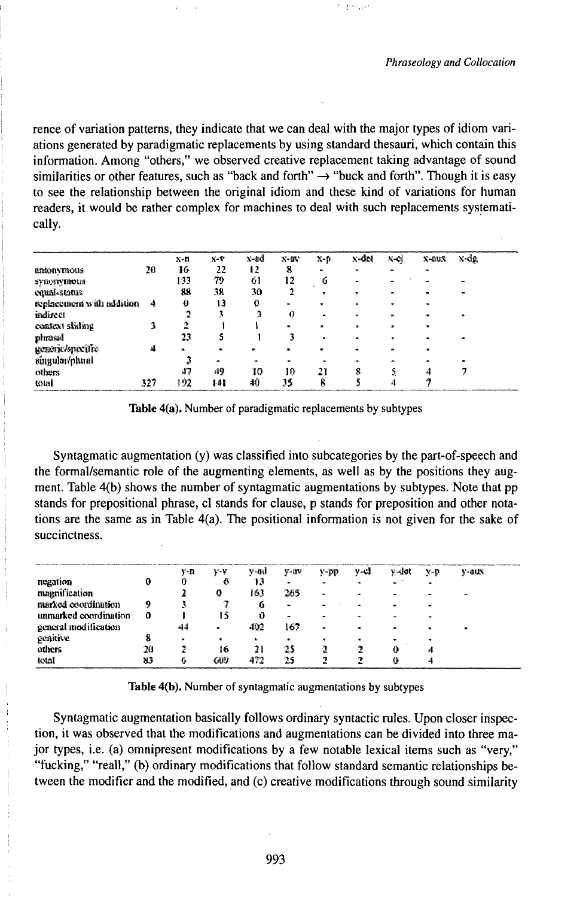不全行动

rence of variation patterns, they indicate that we can deal with the major types of idiom variations generated by paradigmatic replacements by using standard thesauri, which contain this information. Among "others," we observed creative replacement taking advantage of sound similarities or other features, such as "back and forth"  $\rightarrow$  "buck and forth". Though it is easy to see the relationship between the original idiom and these kind of variations for human readers, it would be rather complex for machines to deal with such replacements systematically.

|                           |     | $X - n$ | $X-T$ | x-ad | $X-0V$       | $x-p$                    | x-det                   | x-ci      | $x$ -aux  | x-de |
|---------------------------|-----|---------|-------|------|--------------|--------------------------|-------------------------|-----------|-----------|------|
| amonyntous                | 20  | 16      | 22    | 12   | 8            | $\overline{\phantom{a}}$ |                         |           | ×         |      |
| synenymous                |     | 133     | 79    | 61   | 12           | Ű                        |                         |           |           |      |
| emal-status               |     | 88      | 38    | 30   |              | $\pmb{\pi}$              | $\overline{\mathbf{x}}$ |           | $\bullet$ | ъ,   |
| replacement with addition | 4   | O       | 13    | 0    |              | $\mathbf{r}$             |                         | ₩.        | $\cdot$   |      |
| indirect                  |     |         |       |      | 0            | $\bullet$                |                         | ×.        |           |      |
| context sliding           |     |         |       |      |              | $\overline{\phantom{a}}$ | $\bullet$               | $\bullet$ | $\bullet$ |      |
| phrasal                   |     | 23      |       |      |              | ж.                       |                         |           |           |      |
| generic/specific          | A   | ж.      |       |      | $\mathbf{M}$ |                          |                         |           |           |      |
| singular/pluml            |     |         |       | a.   | ж.           |                          |                         | 160       |           |      |
| others                    |     | 47      | 49    | 10   | 10           | 21                       | g                       |           |           |      |
| total                     | 327 | 192     | 141   | 40   | 35           | Ř                        |                         |           |           |      |

Table 4(a). Number of paradigmatic replacements by subtypes

Syntagmatic augmentation (y) was classified into subcategories by the part-of-speech and the formal/semantic role of the augmenting elements, as well as by the positions they augment. Table 4(b) shows the number of syntagmatic augmentations by subtypes. Note that pp stands for prepositional phrase, cl stands for clause, p stands for preposition and other notations are the same as in Table  $4(a)$ . The positional information is not given for the sake of succinctness.

|                       |    | ,,,,,,,,,,,,,,,,,,,,,,,,,,,,,,,,,<br>v-n | v-v | y-ad | $v - uv$ | y-pp           | マーロ | v-det | V-D | y-aux |
|-----------------------|----|------------------------------------------|-----|------|----------|----------------|-----|-------|-----|-------|
| negation              |    |                                          | ۴۱  | 13   |          | $\blacksquare$ |     |       |     |       |
| magnification         |    |                                          |     | 163  | 265      | $\blacksquare$ |     |       |     |       |
| marked coordination   | 9  |                                          |     | 6    |          |                |     |       |     |       |
| unmarked coordination | 0  |                                          | ٤Ď  |      | -        |                |     |       |     |       |
| general modification  |    | 44                                       | ۰   | 402  | 167      | ۰              |     |       |     |       |
| genitive              |    | $\bullet$                                | ٠   | ж.   |          | $\bullet$      |     |       |     |       |
| others                | 20 |                                          | 16  | 21   | 25       |                |     |       | rð, |       |
| total                 | 83 |                                          | もりり | 472  | 75       |                |     | 0     |     |       |

Table 4(b). Number of syntagmatic augmentations by subtypes

Syntagmatic augmentation basically follows ordinary syntactic rules. Upon closer inspection, it was observed that the modifications and augmentations can be divided into three major types, i.e. (a) omnipresent modifications by a few notable lexical items such as "very," "fucking," "reall," (b) ordinary modifications that follow standard semantic relationships between the modifier and the modified, and (c) creative modifications through sound similarity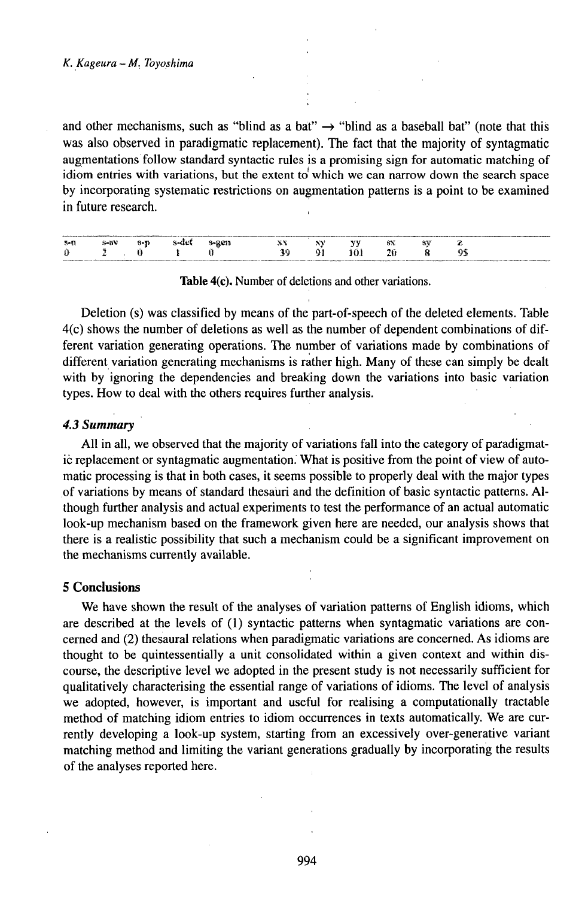and other mechanisms, such as "blind as a bat"  $\rightarrow$  "blind as a baseball bat" (note that this was also observed in paradigmatic replacement). The fact that the majority of syntagmatic augmentations follow standard syntactic rules is a promising sign for automatic matching of idiom entries with variations, but the extent to which we can narrow down the search space by incorporating systematic restrictions on augmentation patterns is a point to be examined in future research.

| 3-1 | -311 | $\overline{\phantom{a}}$ |  |  | Wirk. | Aa t<br>. . | 48 |  |
|-----|------|--------------------------|--|--|-------|-------------|----|--|
|     |      |                          |  |  | - 68  |             |    |  |
|     |      |                          |  |  |       |             |    |  |

Table 4(c). Number of deletions and other variations.

Deletion (s) was classified by means of the part-of-speech of the deleted elements. Table 4(c) shows the number of deletions as well as the number of dependent combinations of different variation generating operations. The number of variations made by combinations of different variation generating mechanisms is rather high. Many of these can simply be dealt with by ignoring the dependencies and breaking down the variations into basic variation types. How to deal with the others requires further analysis.

## 4.3 Summary

All in all, we observed that the majority of variations fall into the category of paradigmatic replacement or syntagmatic augmentation. What is positive from the point of view of automatic processing is that in both cases, it seems possible to properly deal with the major types of variations by means of standard thesauri and the definition of basic syntactic patterns. Although further analysis and actual experiments to test the performance of an actual automatic look-up mechanism based on the framework given here are needed, our analysis shows that there is a realistic possibility that such a mechanism could be a significant improvement on the mechanisms currently available.

# **5 Conclusions**

We have shown the result of the analyses of variation patterns of English idioms, which are described at the levels of (1) syntactic patterns when syntagmatic variations are concerned and (2) the saural relations when paradigmatic variations are concerned. As idioms are thought to be quintessentially a unit consolidated within a given context and within discourse, the descriptive level we adopted in the present study is not necessarily sufficient for qualitatively characterising the essential range of variations of idioms. The level of analysis we adopted, however, is important and useful for realising a computationally tractable method of matching idiom entries to idiom occurrences in texts automatically. We are currently developing a look-up system, starting from an excessively over-generative variant matching method and limiting the variant generations gradually by incorporating the results of the analyses reported here.